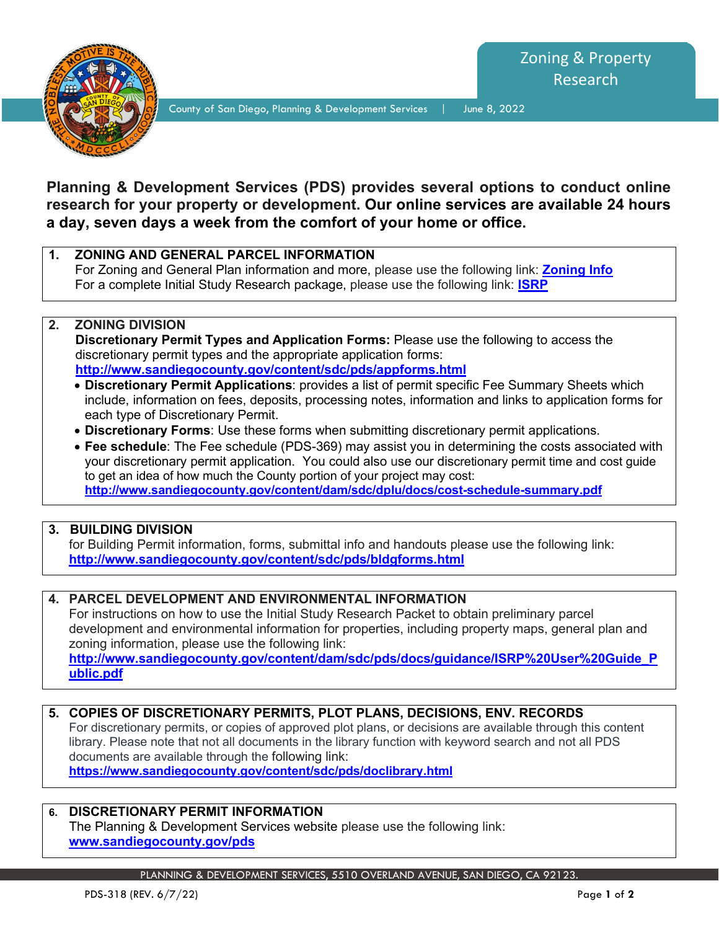

County of San Diego, Planning & Development Services | June 8, 2022

# **Planning & Development Services (PDS) provides several options to conduct online research for your property or development. Our online services are available 24 hours a day, seven days a week from the comfort of your home or office.**

**1. ZONING AND GENERAL PARCEL INFORMATION** For Zoning and General Plan information and more, please use the following link: **[Zoning Info](https://publicservices.sandiegocounty.gov/CitizenAccess/Report/ReportParameter.aspx?module=LUEG-PDS&reportID=2844&reportType=LINK_REPORT_LIST)** For a complete Initial Study Research package, please use the following link: **[ISRP](https://gis-public.sandiegocounty.gov/ISRP/home)**

#### **2. ZONING DIVISION Discretionary Permit Types and Application Forms:** Please use the following to access the discretionary permit types and the appropriate application forms: **<http://www.sandiegocounty.gov/content/sdc/pds/appforms.html>**

- **Discretionary Permit Applications**: provides a list of permit specific Fee Summary Sheets which include, information on fees, deposits, processing notes, information and links to application forms for each type of Discretionary Permit.
- **Discretionary Forms**: Use these forms when submitting discretionary permit applications.

• **Fee schedule**: The Fee schedule (PDS-369) may assist you in determining the costs associated with your discretionary permit application. You could also use our discretionary permit time and cost guide to get an idea of how much the County portion of your project may cost: **<http://www.sandiegocounty.gov/content/dam/sdc/dplu/docs/cost-schedule-summary.pdf>**

#### **3. BUILDING DIVISION**

for Building Permit information, forms, submittal info and handouts please use the following link: **<http://www.sandiegocounty.gov/content/sdc/pds/bldgforms.html>**

#### **4. PARCEL DEVELOPMENT AND ENVIRONMENTAL INFORMATION**

For instructions on how to use the Initial Study Research Packet to obtain preliminary parcel development and environmental information for properties, including property maps, general plan and zoning information, please use the following link:

**http://www.sandiegocounty.gov/content/dam/sdc/pds/docs/guidance/ISRP%20User%20Guide\_P ublic.pdf**

## **5. COPIES OF DISCRETIONARY PERMITS, PLOT PLANS, DECISIONS, ENV. RECORDS**

For discretionary permits, or copies of approved plot plans, or decisions are available through this content library. Please note that not all documents in the library function with keyword search and not all PDS documents are available through the following link:

**<https://www.sandiegocounty.gov/content/sdc/pds/doclibrary.html>**

#### **6. DISCRETIONARY PERMIT INFORMATION**

The Planning & Development Services website please use the following link: **[www.sandiegocounty.gov/pds](http://www.sandiegocounty.gov/pds)**